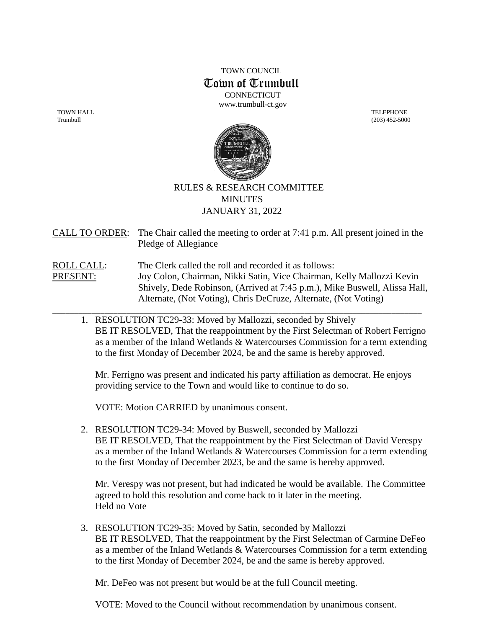TOWN COUNCIL Town of Trumbull **CONNECTICUT** 

[www.trumbull-ct.gov](http://www.trumbull-ct.gov/)

TOWN HALL TELEPHONE





## RULES & RESEARCH COMMITTEE **MINUTES** JANUARY 31, 2022

CALL TO ORDER: The Chair called the meeting to order at 7:41 p.m. All present joined in the Pledge of Allegiance

ROLL CALL: The Clerk called the roll and recorded it as follows: PRESENT: Joy Colon, Chairman, Nikki Satin, Vice Chairman, Kelly Mallozzi Kevin Shively, Dede Robinson, (Arrived at 7:45 p.m.), Mike Buswell, Alissa Hall, Alternate, (Not Voting), Chris DeCruze, Alternate, (Not Voting)

\_\_\_\_\_\_\_\_\_\_\_\_\_\_\_\_\_\_\_\_\_\_\_\_\_\_\_\_\_\_\_\_\_\_\_\_\_\_\_\_\_\_\_\_\_\_\_\_\_\_\_\_\_\_\_\_\_\_\_\_\_\_\_\_\_\_\_\_\_\_\_\_\_\_\_\_\_\_\_\_\_\_\_\_\_

1. RESOLUTION TC29-33: Moved by Mallozzi, seconded by Shively BE IT RESOLVED, That the reappointment by the First Selectman of Robert Ferrigno as a member of the Inland Wetlands & Watercourses Commission for a term extending to the first Monday of December 2024, be and the same is hereby approved.

Mr. Ferrigno was present and indicated his party affiliation as democrat. He enjoys providing service to the Town and would like to continue to do so.

VOTE: Motion CARRIED by unanimous consent.

2. RESOLUTION TC29-34: Moved by Buswell, seconded by Mallozzi BE IT RESOLVED, That the reappointment by the First Selectman of David Verespy as a member of the Inland Wetlands & Watercourses Commission for a term extending to the first Monday of December 2023, be and the same is hereby approved.

Mr. Verespy was not present, but had indicated he would be available. The Committee agreed to hold this resolution and come back to it later in the meeting. Held no Vote

3. RESOLUTION TC29-35: Moved by Satin, seconded by Mallozzi BE IT RESOLVED, That the reappointment by the First Selectman of Carmine DeFeo as a member of the Inland Wetlands & Watercourses Commission for a term extending to the first Monday of December 2024, be and the same is hereby approved.

Mr. DeFeo was not present but would be at the full Council meeting.

VOTE: Moved to the Council without recommendation by unanimous consent.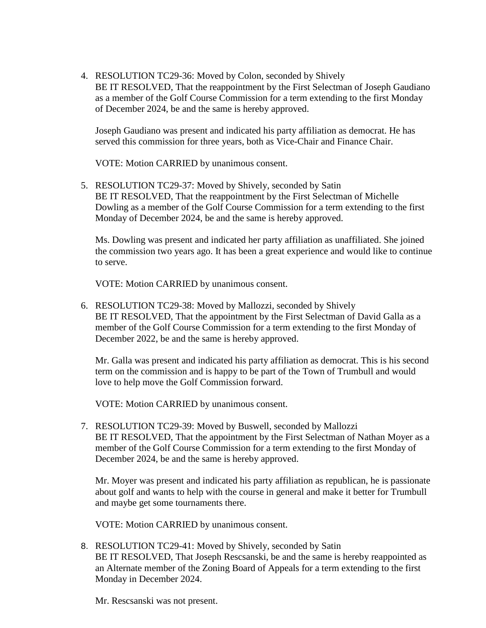4. RESOLUTION TC29-36: Moved by Colon, seconded by Shively BE IT RESOLVED, That the reappointment by the First Selectman of Joseph Gaudiano as a member of the Golf Course Commission for a term extending to the first Monday of December 2024, be and the same is hereby approved.

Joseph Gaudiano was present and indicated his party affiliation as democrat. He has served this commission for three years, both as Vice-Chair and Finance Chair.

VOTE: Motion CARRIED by unanimous consent.

5. RESOLUTION TC29-37: Moved by Shively, seconded by Satin BE IT RESOLVED, That the reappointment by the First Selectman of Michelle Dowling as a member of the Golf Course Commission for a term extending to the first Monday of December 2024, be and the same is hereby approved.

Ms. Dowling was present and indicated her party affiliation as unaffiliated. She joined the commission two years ago. It has been a great experience and would like to continue to serve.

VOTE: Motion CARRIED by unanimous consent.

6. RESOLUTION TC29-38: Moved by Mallozzi, seconded by Shively BE IT RESOLVED, That the appointment by the First Selectman of David Galla as a member of the Golf Course Commission for a term extending to the first Monday of December 2022, be and the same is hereby approved.

Mr. Galla was present and indicated his party affiliation as democrat. This is his second term on the commission and is happy to be part of the Town of Trumbull and would love to help move the Golf Commission forward.

VOTE: Motion CARRIED by unanimous consent.

7. RESOLUTION TC29-39: Moved by Buswell, seconded by Mallozzi BE IT RESOLVED, That the appointment by the First Selectman of Nathan Moyer as a member of the Golf Course Commission for a term extending to the first Monday of December 2024, be and the same is hereby approved.

Mr. Moyer was present and indicated his party affiliation as republican, he is passionate about golf and wants to help with the course in general and make it better for Trumbull and maybe get some tournaments there.

VOTE: Motion CARRIED by unanimous consent.

8. RESOLUTION TC29-41: Moved by Shively, seconded by Satin BE IT RESOLVED, That Joseph Rescsanski, be and the same is hereby reappointed as an Alternate member of the Zoning Board of Appeals for a term extending to the first Monday in December 2024.

Mr. Rescsanski was not present.